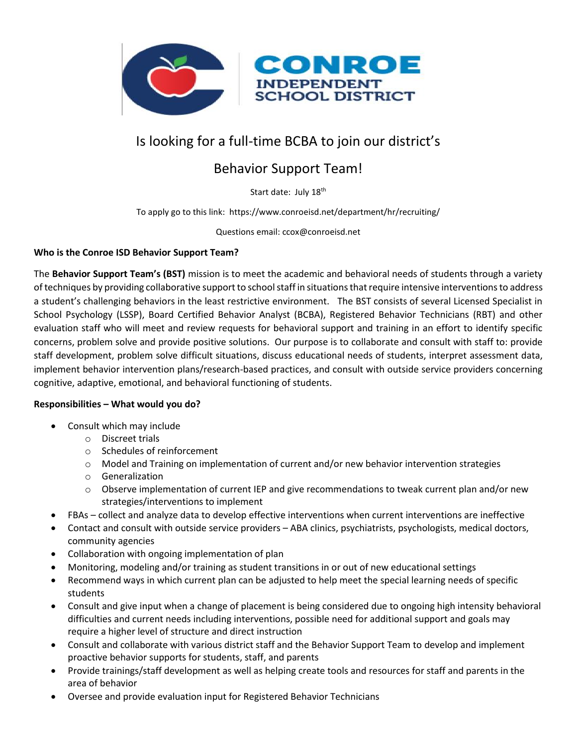

# Is looking for a full-time BCBA to join our district's

## Behavior Support Team!

Start date: July 18<sup>th</sup>

To apply go to this link: https://www.conroeisd.net/department/hr/recruiting/

Questions email: ccox@conroeisd.net

#### **Who is the Conroe ISD Behavior Support Team?**

The **Behavior Support Team's (BST)** mission is to meet the academic and behavioral needs of students through a variety of techniques by providing collaborative support to school staff in situations that require intensive interventions to address a student's challenging behaviors in the least restrictive environment. The BST consists of several Licensed Specialist in School Psychology (LSSP), Board Certified Behavior Analyst (BCBA), Registered Behavior Technicians (RBT) and other evaluation staff who will meet and review requests for behavioral support and training in an effort to identify specific concerns, problem solve and provide positive solutions. Our purpose is to collaborate and consult with staff to: provide staff development, problem solve difficult situations, discuss educational needs of students, interpret assessment data, implement behavior intervention plans/research-based practices, and consult with outside service providers concerning cognitive, adaptive, emotional, and behavioral functioning of students.

### **Responsibilities – What would you do?**

- Consult which may include
	- o Discreet trials
	- o Schedules of reinforcement
	- o Model and Training on implementation of current and/or new behavior intervention strategies
	- o Generalization
	- $\circ$  Observe implementation of current IEP and give recommendations to tweak current plan and/or new strategies/interventions to implement
- FBAs collect and analyze data to develop effective interventions when current interventions are ineffective
- Contact and consult with outside service providers ABA clinics, psychiatrists, psychologists, medical doctors, community agencies
- Collaboration with ongoing implementation of plan
- Monitoring, modeling and/or training as student transitions in or out of new educational settings
- Recommend ways in which current plan can be adjusted to help meet the special learning needs of specific students
- Consult and give input when a change of placement is being considered due to ongoing high intensity behavioral difficulties and current needs including interventions, possible need for additional support and goals may require a higher level of structure and direct instruction
- Consult and collaborate with various district staff and the Behavior Support Team to develop and implement proactive behavior supports for students, staff, and parents
- Provide trainings/staff development as well as helping create tools and resources for staff and parents in the area of behavior
- Oversee and provide evaluation input for Registered Behavior Technicians